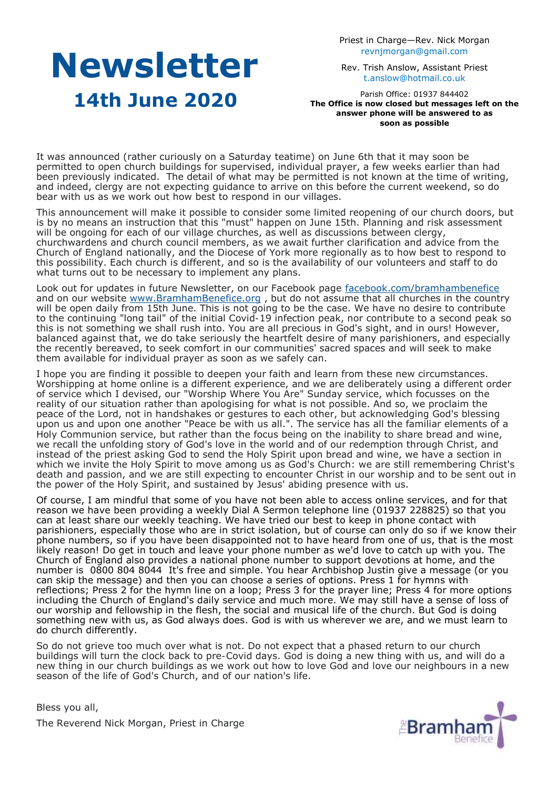Priest in Charge—Rev. Nick Morgan revnjmorgan@gmail.com

#### Rev. Trish Anslow, Assistant Priest t.anslow@hotmail.co.uk

**14th June 2020**

**Newsletter**

Parish Office: 01937 844402 **The Office is now closed but messages left on the answer phone will be answered to as soon as possible**

It was announced (rather curiously on a Saturday teatime) on June 6th that it may soon be permitted to open church buildings for supervised, individual prayer, a few weeks earlier than had been previously indicated. The detail of what may be permitted is not known at the time of writing, and indeed, clergy are not expecting guidance to arrive on this before the current weekend, so do bear with us as we work out how best to respond in our villages.

This announcement will make it possible to consider some limited reopening of our church doors, but is by no means an instruction that this "must" happen on June 15th. Planning and risk assessment will be ongoing for each of our village churches, as well as discussions between clergy, churchwardens and church council members, as we await further clarification and advice from the Church of England nationally, and the Diocese of York more regionally as to how best to respond to this possibility. Each church is different, and so is the availability of our volunteers and staff to do what turns out to be necessary to implement any plans.

Look out for updates in future Newsletter, on our Facebook page [facebook.com/bramhambenefice](https://nam11.safelinks.protection.outlook.com/?url=http%3A%2F%2Ffacebook.com%2Fbramhambenefice&data=02%7C01%7C%7C85a6d9dfe81145d81cfc08d80c60db1b%7C84df9e7fe9f640afb435aaaaaaaaaaaa%7C1%7C0%7C637272957407401995&sdata=QTHEOpjbJCpdh%2FoVc4xXkH%2BXAQXSVeM%2Fyfhc) and on our website [www.BramhamBenefice.org](https://nam11.safelinks.protection.outlook.com/?url=http%3A%2F%2Fwww.bramhambenefice.org%2F&data=02%7C01%7C%7C85a6d9dfe81145d81cfc08d80c60db1b%7C84df9e7fe9f640afb435aaaaaaaaaaaa%7C1%7C0%7C637272957407401995&sdata=c1pBja%2F7C0zuqEnVYzAvBmbVbwxGrBIU3Rb3H1OCdTE%), but do not assume that all churches in the country will be open daily from 15th June. This is not going to be the case. We have no desire to contribute to the continuing "long tail" of the initial Covid-19 infection peak, nor contribute to a second peak so this is not something we shall rush into. You are all precious in God's sight, and in ours! However, balanced against that, we do take seriously the heartfelt desire of many parishioners, and especially the recently bereaved, to seek comfort in our communities' sacred spaces and will seek to make them available for individual prayer as soon as we safely can.

I hope you are finding it possible to deepen your faith and learn from these new circumstances. Worshipping at home online is a different experience, and we are deliberately using a different order of service which I devised, our "Worship Where You Are" Sunday service, which focusses on the reality of our situation rather than apologising for what is not possible. And so, we proclaim the peace of the Lord, not in handshakes or gestures to each other, but acknowledging God's blessing upon us and upon one another "Peace be with us all.". The service has all the familiar elements of a Holy Communion service, but rather than the focus being on the inability to share bread and wine, we recall the unfolding story of God's love in the world and of our redemption through Christ, and instead of the priest asking God to send the Holy Spirit upon bread and wine, we have a section in which we invite the Holy Spirit to move among us as God's Church: we are still remembering Christ's death and passion, and we are still expecting to encounter Christ in our worship and to be sent out in the power of the Holy Spirit, and sustained by Jesus' abiding presence with us.

Of course, I am mindful that some of you have not been able to access online services, and for that reason we have been providing a weekly Dial A Sermon telephone line (01937 228825) so that you can at least share our weekly teaching. We have tried our best to keep in phone contact with parishioners, especially those who are in strict isolation, but of course can only do so if we know their phone numbers, so if you have been disappointed not to have heard from one of us, that is the most likely reason! Do get in touch and leave your phone number as we'd love to catch up with you. The Church of England also provides a national phone number to support devotions at home, and the number is 0800 804 8044 It's free and simple. You hear Archbishop Justin give a message (or you can skip the message) and then you can choose a series of options. Press 1 for hymns with reflections; Press 2 for the hymn line on a loop; Press 3 for the prayer line; Press 4 for more options including the Church of England's daily service and much more. We may still have a sense of loss of our worship and fellowship in the flesh, the social and musical life of the church. But God is doing something new with us, as God always does. God is with us wherever we are, and we must learn to do church differently.

So do not grieve too much over what is not. Do not expect that a phased return to our church buildings will turn the clock back to pre-Covid days. God is doing a new thing with us, and will do a new thing in our church buildings as we work out how to love God and love our neighbours in a new season of the life of God's Church, and of our nation's life.

Bless you all,

The Reverend Nick Morgan, Priest in Charge

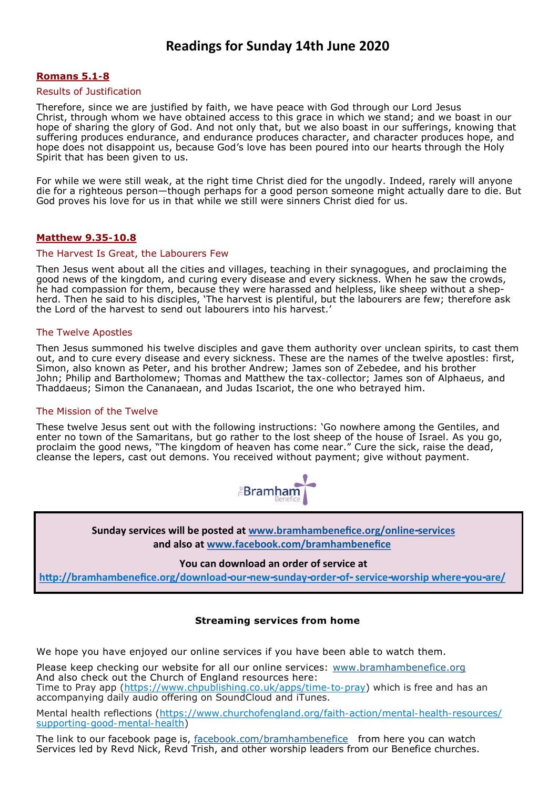#### **Romans 5.1-8**

#### Results of Justification

Therefore, since we are justified by faith, we have peace with God through our Lord Jesus Christ, through whom we have obtained access to this grace in which we stand; and we boast in our hope of sharing the glory of God. And not only that, but we also boast in our sufferings, knowing that suffering produces endurance, and endurance produces character, and character produces hope, and hope does not disappoint us, because God's love has been poured into our hearts through the Holy Spirit that has been given to us.

For while we were still weak, at the right time Christ died for the ungodly. Indeed, rarely will anyone die for a righteous person—though perhaps for a good person someone might actually dare to die. But God proves his love for us in that while we still were sinners Christ died for us.

#### **Matthew 9.35-10.8**

#### The Harvest Is Great, the Labourers Few

Then Jesus went about all the cities and villages, teaching in their synagogues, and proclaiming the good news of the kingdom, and curing every disease and every sickness. When he saw the crowds, he had compassion for them, because they were harassed and helpless, like sheep without a shepherd. Then he said to his disciples, 'The harvest is plentiful, but the labourers are few; therefore ask the Lord of the harvest to send out labourers into his harvest.'

#### The Twelve Apostles

Then Jesus summoned his twelve disciples and gave them authority over unclean spirits, to cast them out, and to cure every disease and every sickness. These are the names of the twelve apostles: first, Simon, also known as Peter, and his brother Andrew; James son of Zebedee, and his brother John; Philip and Bartholomew; Thomas and Matthew the tax-collector; James son of Alphaeus, and Thaddaeus; Simon the Cananaean, and Judas Iscariot, the one who betrayed him.

#### The Mission of the Twelve

These twelve Jesus sent out with the following instructions: 'Go nowhere among the Gentiles, and enter no town of the Samaritans, but go rather to the lost sheep of the house of Israel. As you go, proclaim the good news, "The kingdom of heaven has come near." Cure the sick, raise the dead, cleanse the lepers, cast out demons. You received without payment; give without payment.



**Sunday services will be posted at [www.bramhambenefice.org/online-services](https://eur04.safelinks.protection.outlook.com/?url=http%3A%2F%2Fwww.bramhambenefice.org%2Fonline-services&data=02%7C01%7C%7C9fffda0220904d0713b208d7ecd00d35%7C84df9e7fe9f640afb435aaaaaaaaaaaa%7C1%7C0%7C637238250620349273&sdata=pdPJ%2Fd9z0Ql9%2BvmsrDy%2FlK8H9)  and also at [www.facebook.com/bramhambenefice](https://eur04.safelinks.protection.outlook.com/?url=http%3A%2F%2Fwww.facebook.com%2Fbramhambenefice&data=02%7C01%7C%7C9fffda0220904d0713b208d7ecd00d35%7C84df9e7fe9f640afb435aaaaaaaaaaaa%7C1%7C0%7C637238250620359269&sdata=GCYD57FQtZ1lApQk74e8EBV3GJGH3NwR2gYxxV)**

#### **You can download an order of service at**

**[http://bramhambenefice.org/download-our-new-sunday-order-of-](https://nam01.safelinks.protection.outlook.com/?url=http%3A%2F%2Fbramhambenefice.org%2Fdownload-our-new-sunday-order-of-service-worship-where-you-are%2F&data=02%7C01%7C%7Cdac18cc1eae9453d1cab08d7d09f86df%7C84df9e7fe9f640afb435aaaaaaaaaaaa%7C1%7C0%7C6372072558) service-worship where-you-are/**

#### **Streaming services from home**

We hope you have enjoyed our online services if you have been able to watch them.

Please keep checking our website for all our online services: [www.bramhambenefice.org](http://www.bramhambenefice.org)  And also check out the Church of England resources here: Time to Pray app ([https://www.chpublishing.co.uk/apps/time-to-pray\)](https://www.chpublishing.co.uk/apps/time-to-pray) which is free and has an accompanying daily audio offering on SoundCloud and iTunes.

Mental health reflections [\(https://www.churchofengland.org/faith-action/mental-health-resources/](https://www.churchofengland.org/faith-action/mental-health-resources/supporting-good-mental-health) [supporting-good-mental-health\)](https://www.churchofengland.org/faith-action/mental-health-resources/supporting-good-mental-health)

The link to our facebook page is, [facebook.com/bramhambenefice](https://eur05.safelinks.protection.outlook.com/?url=http%3A%2F%2Ffacebook.com%2Fbramhambenefice&data=02%7C01%7C%7C5215affdf9154e5ca53f08d8020ed131%7C84df9e7fe9f640afb435aaaaaaaaaaaa%7C1%7C0%7C637261609940745686&sdata=nC05ip0VCLAJzsVEcujhtDzS0pL40Gpzghh1Q8SRbO) from here you can watch Services led by Revd Nick, Revd Trish, and other worship leaders from our Benefice churches.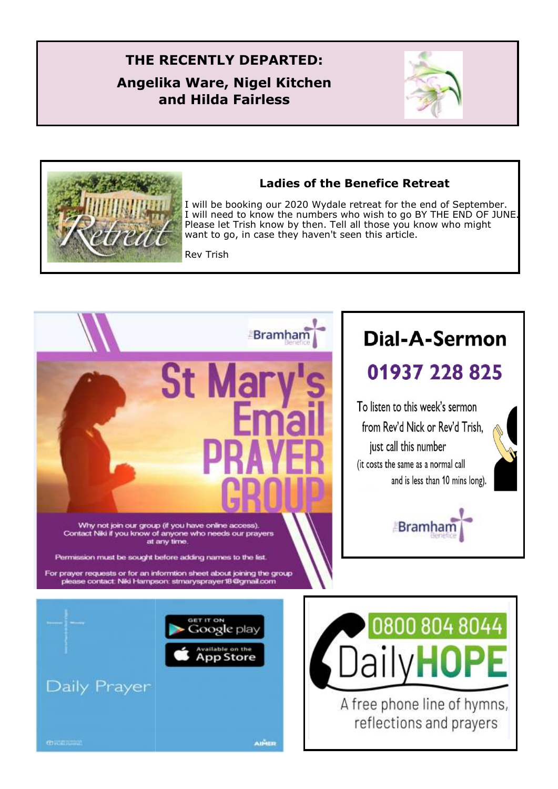## **THE RECENTLY DEPARTED:**

## **Angelika Ware, Nigel Kitchen and Hilda Fairless**





## **Ladies of the Benefice Retreat**

I will be booking our 2020 Wydale retreat for the end of September. I will need to know the numbers who wish to go BY THE END OF JUNE. Please let Trish know by then. Tell all those you know who might want to go, in case they haven't seen this article.

Rev Trish

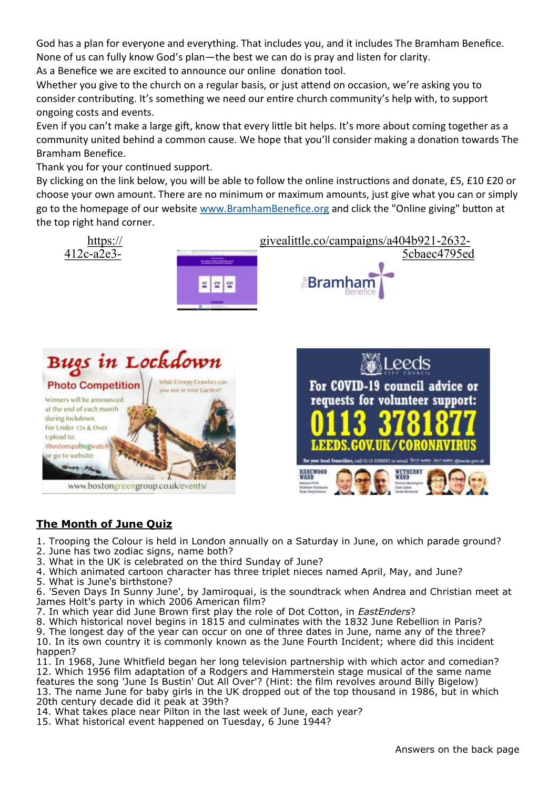God has a plan for everyone and everything. That includes you, and it includes The Bramham Benefice. None of us can fully know God's plan—the best we can do is pray and listen for clarity.

As a Benefice we are excited to announce our online donation tool.

Whether you give to the church on a regular basis, or just attend on occasion, we're asking you to consider contributing. It's something we need our entire church community's help with, to support ongoing costs and events.

Even if you can't make a large gift, know that every little bit helps. It's more about coming together as a community united behind a common cause. We hope that you'll consider making a donation towards The Bramham Benefice.

Thank you for your continued support.

By clicking on the link below, you will be able to follow the online instructions and donate, £5, £10 £20 or choose your own amount. There are no minimum or maximum amounts, just give what you can or simply go to the homepage of our website [www.BramhamBenefice.org](https://nam12.safelinks.protection.outlook.com/?url=http%3A%2F%2Fwww.bramhambenefice.org%2F&data=02%7C01%7C%7C21ad6e7090d0464fdf4b08d80d3faebb%7C84df9e7fe9f640afb435aaaaaaaaaaaa%7C1%7C0%7C637273914455580858&sdata=nT1shdmho4aVpCWkTqcVMhua1mo6Nqmt7anUjUUXR3Q%3D) and click the "Online giving" button at the top right hand corner.



## **The Month of June Quiz**

- 1. Trooping the Colour is held in London annually on a Saturday in June, on which parade ground?
- 2. June has two zodiac signs, name both?
- 3. What in the UK is celebrated on the third Sunday of June?
- 4. Which animated cartoon character has three triplet nieces named April, May, and June?
- 5. What is June's birthstone?

6. 'Seven Days In Sunny June', by Jamiroquai, is the soundtrack when Andrea and Christian meet at James Holt's party in which 2006 American film?

7. In which year did June Brown first play the role of Dot Cotton, in *EastEnders*?

8. Which historical novel begins in 1815 and culminates with the 1832 June Rebellion in Paris?

9. The longest day of the year can occur on one of three dates in June, name any of the three? 10. In its own country it is commonly known as the June Fourth Incident; where did this incident happen?

11. In 1968, June Whitfield began her long television partnership with which actor and comedian? 12. Which 1956 film adaptation of a Rodgers and Hammerstein stage musical of the same name features the song 'June Is Bustin' Out All Over'? (Hint: the film revolves around Billy Bigelow) 13. The name June for baby girls in the UK dropped out of the top thousand in 1986, but in which 20th century decade did it peak at 39th?

14. What takes place near Pilton in the last week of June, each year?

15. What historical event happened on Tuesday, 6 June 1944?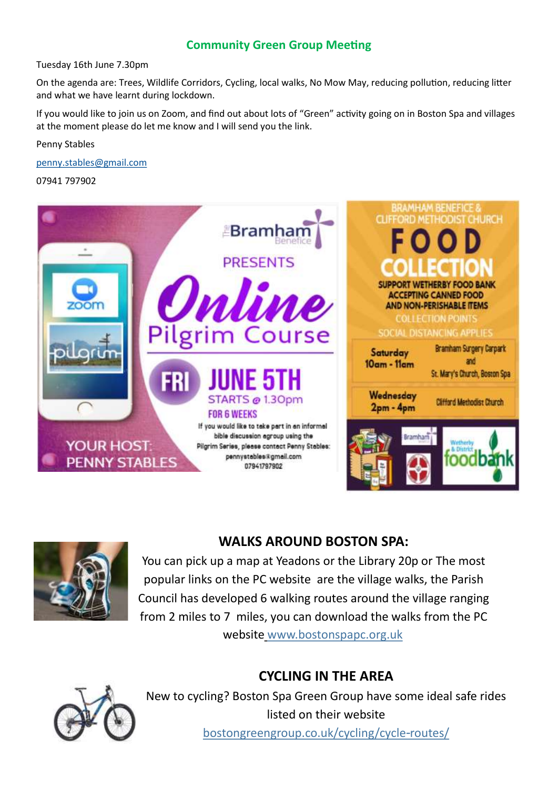## **Community Green Group Meeting**

Tuesday 16th June 7.30pm

On the agenda are: Trees, Wildlife Corridors, Cycling, local walks, No Mow May, reducing pollution, reducing litter and what we have learnt during lockdown.

If you would like to join us on Zoom, and find out about lots of "Green" activity going on in Boston Spa and villages at the moment please do let me know and I will send you the link.

Penny Stables

[penny.stables@gmail.com](mailto:penny.stables@gmail.com)

07941 797902





## **WALKS AROUND BOSTON SPA:**

You can pick up a map at Yeadons or the Library 20p or The most popular links on the PC website are the village walks, the Parish Council has developed 6 walking routes around the village ranging from 2 miles to 7 miles, you can download the walks from the PC website [www.bostonspapc.org.uk](http://www.bostonspapc.org.uk/Boston-Spa-Parish-Council/local_walks-7374.aspx)

## **CYCLING IN THE AREA**



New to cycling? Boston Spa Green Group have some ideal safe rides listed on their website [bostongreengroup.co.uk/cycling/cycle-routes/](https://bostongreengroup.co.uk/cycling/cycle-routes/?fbclid=IwAR0t2FGnHQ2QvYsjVFipy1zF-sR-RmuTkPeF0DTwkXDy_FPeAc-ywDidbiA)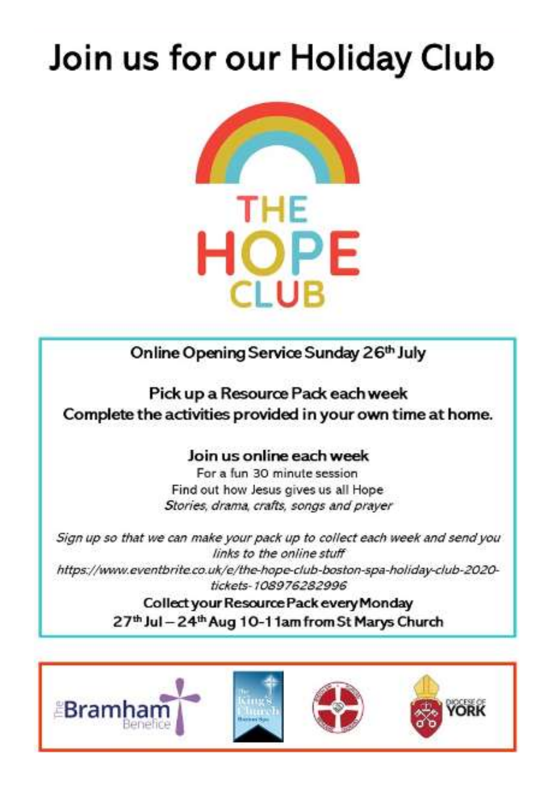# Join us for our Holiday Club



Online Opening Service Sunday 26th July

Pick up a Resource Pack each week Complete the activities provided in your own time at home.

## Join us online each week

For a fun 30 minute session Find out how Jesus gives us all Hope Stories, drama, crafts, songs and prayer

Sign up so that we can make your pack up to collect each week and send you links to the online stuff https://www.eventbrite.co.uk/e/the-hope-club-boston-spa-holiday-club-2020-

tickets-108976282996

Collect your Resource Pack every Monday 27th Jul - 24th Aug 10-1 1am from St Marys Church